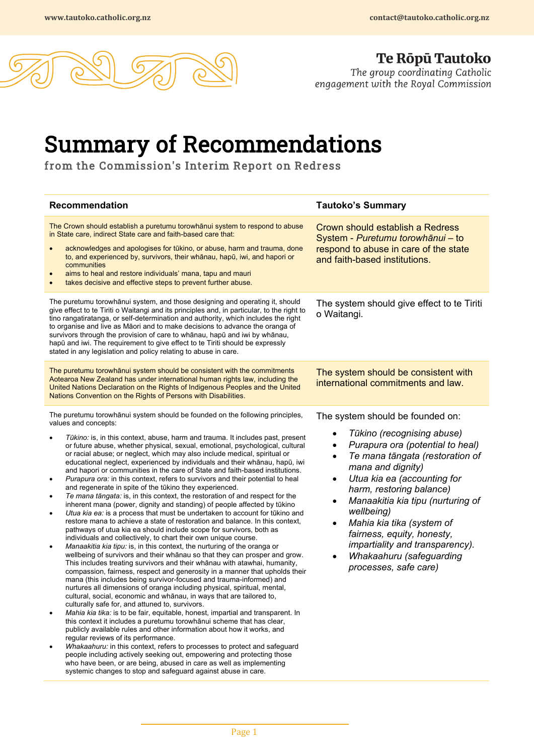

**Te Ropu Tautoko**<br>The group coordinating Catholic<br>engagement with the Royal Commission

## Summary of Recommendations from the Commission's Interim Report on Redress

| <b>Recommendation</b>                                                                                                                                                                                                                                                                                                                                                                                                                                                                                                                                                                                                                                                                                                                                                                                                                                                                                                                                                                                                                                                                                                                                                                                                                                                                                                                                                                                                                                                                                                                                                                                                                                                                                                                                                                                                                                                                                                                                                                                                                                                                                                                                                                                                                                                                                                                                              | <b>Tautoko's Summary</b>                                                                                                                                                                                                                                                                                                                                                                                                                                                                                       |
|--------------------------------------------------------------------------------------------------------------------------------------------------------------------------------------------------------------------------------------------------------------------------------------------------------------------------------------------------------------------------------------------------------------------------------------------------------------------------------------------------------------------------------------------------------------------------------------------------------------------------------------------------------------------------------------------------------------------------------------------------------------------------------------------------------------------------------------------------------------------------------------------------------------------------------------------------------------------------------------------------------------------------------------------------------------------------------------------------------------------------------------------------------------------------------------------------------------------------------------------------------------------------------------------------------------------------------------------------------------------------------------------------------------------------------------------------------------------------------------------------------------------------------------------------------------------------------------------------------------------------------------------------------------------------------------------------------------------------------------------------------------------------------------------------------------------------------------------------------------------------------------------------------------------------------------------------------------------------------------------------------------------------------------------------------------------------------------------------------------------------------------------------------------------------------------------------------------------------------------------------------------------------------------------------------------------------------------------------------------------|----------------------------------------------------------------------------------------------------------------------------------------------------------------------------------------------------------------------------------------------------------------------------------------------------------------------------------------------------------------------------------------------------------------------------------------------------------------------------------------------------------------|
| The Crown should establish a puretumu torowhanui system to respond to abuse<br>in State care, indirect State care and faith-based care that:<br>acknowledges and apologises for tūkino, or abuse, harm and trauma, done<br>to, and experienced by, survivors, their whānau, hapū, iwi, and hapori or<br>communities<br>aims to heal and restore individuals' mana, tapu and mauri<br>takes decisive and effective steps to prevent further abuse.                                                                                                                                                                                                                                                                                                                                                                                                                                                                                                                                                                                                                                                                                                                                                                                                                                                                                                                                                                                                                                                                                                                                                                                                                                                                                                                                                                                                                                                                                                                                                                                                                                                                                                                                                                                                                                                                                                                  | Crown should establish a Redress<br>System - Puretumu torowhānui - to<br>respond to abuse in care of the state<br>and faith-based institutions.                                                                                                                                                                                                                                                                                                                                                                |
| The puretumu torowhānui system, and those designing and operating it, should<br>give effect to te Tiriti o Waitangi and its principles and, in particular, to the right to<br>tino rangatiratanga, or self-determination and authority, which includes the right<br>to organise and live as Māori and to make decisions to advance the oranga of<br>survivors through the provision of care to whanau, hapu and iwi by whanau,<br>hapū and iwi. The requirement to give effect to te Tiriti should be expressly<br>stated in any legislation and policy relating to abuse in care.                                                                                                                                                                                                                                                                                                                                                                                                                                                                                                                                                                                                                                                                                                                                                                                                                                                                                                                                                                                                                                                                                                                                                                                                                                                                                                                                                                                                                                                                                                                                                                                                                                                                                                                                                                                 | The system should give effect to te Tiriti<br>o Waitangi.                                                                                                                                                                                                                                                                                                                                                                                                                                                      |
| The puretumu torowhānui system should be consistent with the commitments<br>Aotearoa New Zealand has under international human rights law, including the<br>United Nations Declaration on the Rights of Indigenous Peoples and the United<br>Nations Convention on the Rights of Persons with Disabilities.                                                                                                                                                                                                                                                                                                                                                                                                                                                                                                                                                                                                                                                                                                                                                                                                                                                                                                                                                                                                                                                                                                                                                                                                                                                                                                                                                                                                                                                                                                                                                                                                                                                                                                                                                                                                                                                                                                                                                                                                                                                        | The system should be consistent with<br>international commitments and law.                                                                                                                                                                                                                                                                                                                                                                                                                                     |
| The puretumu torowhānui system should be founded on the following principles,<br>values and concepts:<br>Tūkino: is, in this context, abuse, harm and trauma. It includes past, present<br>or future abuse, whether physical, sexual, emotional, psychological, cultural<br>or racial abuse; or neglect, which may also include medical, spiritual or<br>educational neglect, experienced by individuals and their whānau, hapū, iwi<br>and hapori or communities in the care of State and faith-based institutions.<br>Purapura ora: in this context, refers to survivors and their potential to heal<br>$\bullet$<br>and regenerate in spite of the tūkino they experienced.<br>Te mana tāngata: is, in this context, the restoration of and respect for the<br>$\bullet$<br>inherent mana (power, dignity and standing) of people affected by tūkino<br>Utua kia ea: is a process that must be undertaken to account for tūkino and<br>$\bullet$<br>restore mana to achieve a state of restoration and balance. In this context,<br>pathways of utua kia ea should include scope for survivors, both as<br>individuals and collectively, to chart their own unique course.<br>Manaakitia kia tipu: is, in this context, the nurturing of the oranga or<br>٠<br>wellbeing of survivors and their whānau so that they can prosper and grow.<br>This includes treating survivors and their whanau with atawhai, humanity,<br>compassion, fairness, respect and generosity in a manner that upholds their<br>mana (this includes being survivor-focused and trauma-informed) and<br>nurtures all dimensions of oranga including physical, spiritual, mental,<br>cultural, social, economic and whānau, in ways that are tailored to,<br>culturally safe for, and attuned to, survivors.<br>Mahia kia tika: is to be fair, equitable, honest, impartial and transparent. In<br>this context it includes a puretumu torowhānui scheme that has clear,<br>publicly available rules and other information about how it works, and<br>regular reviews of its performance.<br>Whakaahuru: in this context, refers to processes to protect and safeguard<br>people including actively seeking out, empowering and protecting those<br>who have been, or are being, abused in care as well as implementing<br>systemic changes to stop and safeguard against abuse in care. | The system should be founded on:<br>Tūkino (recognising abuse)<br>$\bullet$<br>Purapura ora (potential to heal)<br>٠<br>Te mana tāngata (restoration of<br>$\bullet$<br>mana and dignity)<br>Utua kia ea (accounting for<br>$\bullet$<br>harm, restoring balance)<br>Manaakitia kia tipu (nurturing of<br>$\bullet$<br>wellbeing)<br>Mahia kia tika (system of<br>$\bullet$<br>fairness, equity, honesty,<br>impartiality and transparency).<br>Whakaahuru (safeguarding<br>$\bullet$<br>processes, safe care) |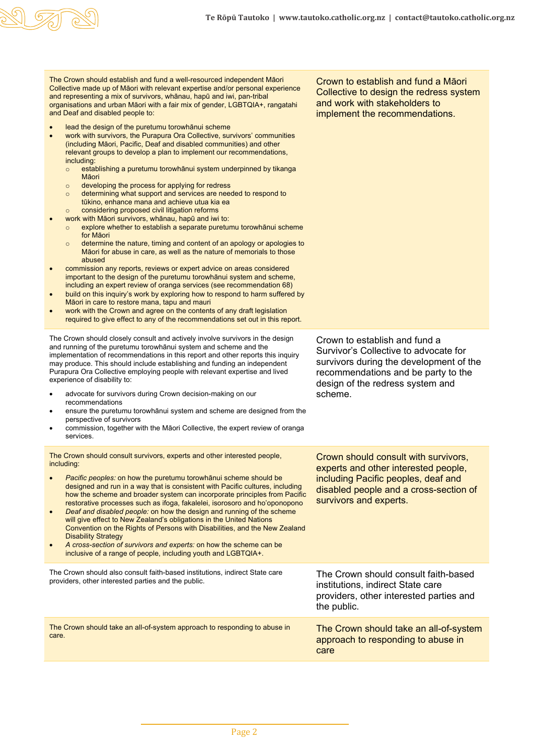

The Crown should establish and fund a well-resourced independent Māori Collective made up of Māori with relevant expertise and/or personal experience and representing a mix of survivors, whānau, hapū and iwi, pan-tribal organisations and urban Māori with a fair mix of gender, LGBTQIA+, rangatahi and Deaf and disabled people to:

- lead the design of the puretumu torowhānui scheme
- work with survivors, the Purapura Ora Collective, survivors' communities (including Māori, Pacific, Deaf and disabled communities) and other relevant groups to develop a plan to implement our recommendations, including:
	- o establishing a puretumu torowhānui system underpinned by tikanga Māori
	- o developing the process for applying for redress
	- o determining what support and services are needed to respond to tūkino, enhance mana and achieve utua kia ea o considering proposed civil litigation reforms
- work with Māori survivors, whānau, hapū and iwi to:
	- o explore whether to establish a separate puretumu torowhānui scheme for Māori
	- o determine the nature, timing and content of an apology or apologies to Māori for abuse in care, as well as the nature of memorials to those abused
- commission any reports, reviews or expert advice on areas considered important to the design of the puretumu torowhānui system and scheme, including an expert review of oranga services (see recommendation 68)
- build on this inquiry's work by exploring how to respond to harm suffered by Māori in care to restore mana, tapu and mauri
- work with the Crown and agree on the contents of any draft legislation required to give effect to any of the recommendations set out in this report.

The Crown should closely consult and actively involve survivors in the design and running of the puretumu torowhānui system and scheme and the implementation of recommendations in this report and other reports this inquiry may produce. This should include establishing and funding an independent Purapura Ora Collective employing people with relevant expertise and lived experience of disability to:

- advocate for survivors during Crown decision-making on our recommendations
- ensure the puretumu torowhānui system and scheme are designed from the perspective of survivors
- commission, together with the Māori Collective, the expert review of oranga services.

The Crown should consult survivors, experts and other interested people, including:

- *Pacific peoples:* on how the puretumu torowhānui scheme should be designed and run in a way that is consistent with Pacific cultures, including how the scheme and broader system can incorporate principles from Pacific restorative processes such as ifoga, fakalelei, isorosoro and ho'oponopono
- *Deaf and disabled people:* on how the design and running of the scheme will give effect to New Zealand's obligations in the United Nations Convention on the Rights of Persons with Disabilities, and the New Zealand **Disability Strategy**
- *A cross-section of survivors and experts:* on how the scheme can be inclusive of a range of people, including youth and LGBTQIA+.

The Crown should also consult faith-based institutions, indirect State care providers, other interested parties and the public.

The Crown should take an all-of-system approach to responding to abuse in care. The Crown should take an all-of-system

Crown to establish and fund a Māori Collective to design the redress system and work with stakeholders to implement the recommendations.

Crown to establish and fund a Survivor's Collective to advocate for survivors during the development of the recommendations and be party to the design of the redress system and scheme.

Crown should consult with survivors, experts and other interested people, including Pacific peoples, deaf and disabled people and a cross-section of survivors and experts.

approach to responding to abuse in care

The Crown should consult faith-based

providers, other interested parties and

institutions, indirect State care

the public.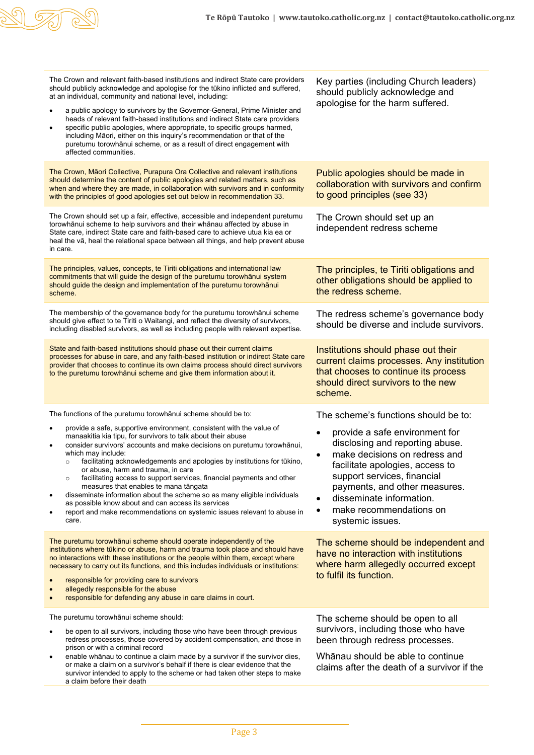

| The Crown and relevant faith-based institutions and indirect State care providers<br>should publicly acknowledge and apologise for the tūkino inflicted and suffered,<br>at an individual, community and national level, including:<br>a public apology to survivors by the Governor-General, Prime Minister and<br>heads of relevant faith-based institutions and indirect State care providers<br>specific public apologies, where appropriate, to specific groups harmed,<br>$\bullet$<br>including Māori, either on this inquiry's recommendation or that of the<br>puretumu torowhānui scheme, or as a result of direct engagement with<br>affected communities.                                                                  | Key parties (including Church leaders)<br>should publicly acknowledge and<br>apologise for the harm suffered.                                                                                                                                                                                 |
|----------------------------------------------------------------------------------------------------------------------------------------------------------------------------------------------------------------------------------------------------------------------------------------------------------------------------------------------------------------------------------------------------------------------------------------------------------------------------------------------------------------------------------------------------------------------------------------------------------------------------------------------------------------------------------------------------------------------------------------|-----------------------------------------------------------------------------------------------------------------------------------------------------------------------------------------------------------------------------------------------------------------------------------------------|
| The Crown, Māori Collective, Purapura Ora Collective and relevant institutions<br>should determine the content of public apologies and related matters, such as<br>when and where they are made, in collaboration with survivors and in conformity<br>with the principles of good apologies set out below in recommendation 33.                                                                                                                                                                                                                                                                                                                                                                                                        | Public apologies should be made in<br>collaboration with survivors and confirm<br>to good principles (see 33)                                                                                                                                                                                 |
| The Crown should set up a fair, effective, accessible and independent puretumu<br>torowhānui scheme to help survivors and their whānau affected by abuse in<br>State care, indirect State care and faith-based care to achieve utua kia ea or<br>heal the vā, heal the relational space between all things, and help prevent abuse<br>in care.                                                                                                                                                                                                                                                                                                                                                                                         | The Crown should set up an<br>independent redress scheme                                                                                                                                                                                                                                      |
| The principles, values, concepts, te Tiriti obligations and international law<br>commitments that will guide the design of the puretumu torowhanui system<br>should guide the design and implementation of the puretumu torowhanui<br>scheme.                                                                                                                                                                                                                                                                                                                                                                                                                                                                                          | The principles, te Tiriti obligations and<br>other obligations should be applied to<br>the redress scheme.                                                                                                                                                                                    |
| The membership of the governance body for the puretumu torowhanui scheme<br>should give effect to te Tiriti o Waitangi, and reflect the diversity of survivors,<br>including disabled survivors, as well as including people with relevant expertise.                                                                                                                                                                                                                                                                                                                                                                                                                                                                                  | The redress scheme's governance body<br>should be diverse and include survivors.                                                                                                                                                                                                              |
| State and faith-based institutions should phase out their current claims<br>processes for abuse in care, and any faith-based institution or indirect State care<br>provider that chooses to continue its own claims process should direct survivors<br>to the puretumu torowhānui scheme and give them information about it.                                                                                                                                                                                                                                                                                                                                                                                                           | Institutions should phase out their<br>current claims processes. Any institution<br>that chooses to continue its process<br>should direct survivors to the new<br>scheme.                                                                                                                     |
| The functions of the puretumu torowhanui scheme should be to:                                                                                                                                                                                                                                                                                                                                                                                                                                                                                                                                                                                                                                                                          | The scheme's functions should be to:                                                                                                                                                                                                                                                          |
| provide a safe, supportive environment, consistent with the value of<br>$\bullet$<br>manaakitia kia tipu, for survivors to talk about their abuse<br>consider survivors' accounts and make decisions on puretumu torowhānui,<br>٠<br>which may include:<br>facilitating acknowledgements and apologies by institutions for tūkino,<br>$\circ$<br>or abuse, harm and trauma, in care<br>facilitating access to support services, financial payments and other<br>$\circ$<br>measures that enables te mana tāngata<br>disseminate information about the scheme so as many eligible individuals<br>as possible know about and can access its services<br>report and make recommendations on systemic issues relevant to abuse in<br>care. | provide a safe environment for<br>disclosing and reporting abuse.<br>make decisions on redress and<br>facilitate apologies, access to<br>support services, financial<br>payments, and other measures.<br>disseminate information.<br>make recommendations on<br>$\bullet$<br>systemic issues. |
| The puretumu torowhanui scheme should operate independently of the<br>institutions where tūkino or abuse, harm and trauma took place and should have<br>no interactions with these institutions or the people within them, except where<br>necessary to carry out its functions, and this includes individuals or institutions:<br>responsible for providing care to survivors<br>allegedly responsible for the abuse<br>responsible for defending any abuse in care claims in court.<br>$\bullet$                                                                                                                                                                                                                                     | The scheme should be independent and<br>have no interaction with institutions<br>where harm allegedly occurred except<br>to fulfil its function.                                                                                                                                              |
| The puretumu torowhānui scheme should:                                                                                                                                                                                                                                                                                                                                                                                                                                                                                                                                                                                                                                                                                                 | The scheme should be open to all                                                                                                                                                                                                                                                              |
| be open to all survivors, including those who have been through previous<br>redress processes, those covered by accident compensation, and those in<br>prison or with a criminal record<br>enable whānau to continue a claim made by a survivor if the survivor dies,<br>$\bullet$<br>or make a claim on a survivor's behalf if there is clear evidence that the                                                                                                                                                                                                                                                                                                                                                                       | survivors, including those who have<br>been through redress processes.<br>Whānau should be able to continue                                                                                                                                                                                   |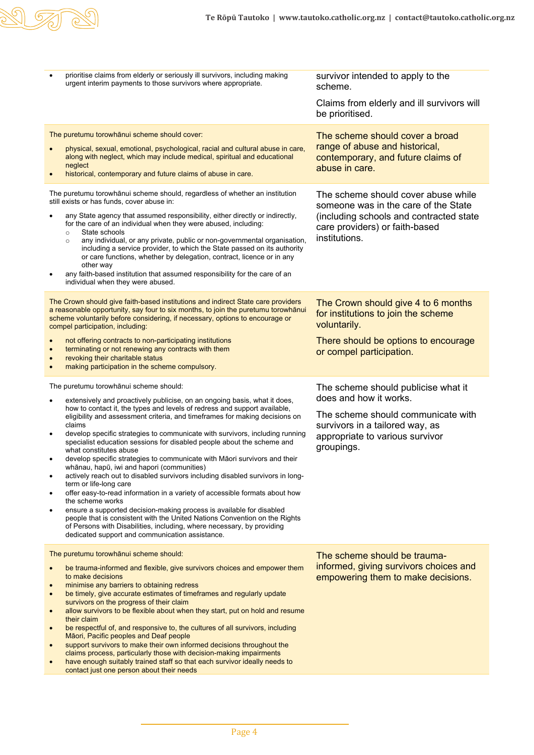

• prioritise claims from elderly or seriously ill survivors, including making prioritise claims from elderly or seriously ill survivors, including making survivor intended to apply to the urgent interim payments to those survivors where appropriate. scheme. Claims from elderly and ill survivors will be prioritised. The puretumu torowhānui scheme should cover: • physical, sexual, emotional, psychological, racial and cultural abuse in care, along with neglect, which may include medical, spiritual and educational neglect historical, contemporary and future claims of abuse in care. The scheme should cover a broad range of abuse and historical, contemporary, and future claims of abuse in care. The puretumu torowhānui scheme should, regardless of whether an institution still exists or has funds, cover abuse in: any State agency that assumed responsibility, either directly or indirectly, for the care of an individual when they were abused, including: o State schools<br>o anv individual any individual, or any private, public or non-governmental organisation, including a service provider, to which the State passed on its authority or care functions, whether by delegation, contract, licence or in any other way any faith-based institution that assumed responsibility for the care of an individual when they were abused. The scheme should cover abuse while someone was in the care of the State (including schools and contracted state care providers) or faith-based institutions. The Crown should give faith-based institutions and indirect State care providers a reasonable opportunity, say four to six months, to join the puretumu torowhānui scheme voluntarily before considering, if necessary, options to encourage or compel participation, including: • not offering contracts to non-participating institutions terminating or not renewing any contracts with them revoking their charitable status • making participation in the scheme compulsory. The Crown should give 4 to 6 months for institutions to join the scheme voluntarily. There should be options to encourage or compel participation. The puretumu torowhānui scheme should: extensively and proactively publicise, on an ongoing basis, what it does, how to contact it, the types and levels of redress and support available, eligibility and assessment criteria, and timeframes for making decisions on claims • develop specific strategies to communicate with survivors, including running specialist education sessions for disabled people about the scheme and what constitutes abuse • develop specific strategies to communicate with Māori survivors and their whānau, hapū, iwi and hapori (communities) actively reach out to disabled survivors including disabled survivors in longterm or life-long care • offer easy-to-read information in a variety of accessible formats about how the scheme works • ensure a supported decision-making process is available for disabled people that is consistent with the United Nations Convention on the Rights of Persons with Disabilities, including, where necessary, by providing dedicated support and communication assistance. The scheme should publicise what it does and how it works. The scheme should communicate with survivors in a tailored way, as appropriate to various survivor groupings. The puretumu torowhānui scheme should: be trauma-informed and flexible, give survivors choices and empower them to make decisions • minimise any barriers to obtaining redress • be timely, give accurate estimates of timeframes and regularly update survivors on the progress of their claim allow survivors to be flexible about when they start, put on hold and resume their claim be respectful of, and responsive to, the cultures of all survivors, including Māori, Pacific peoples and Deaf people support survivors to make their own informed decisions throughout the claims process, particularly those with decision-making impairments have enough suitably trained staff so that each survivor ideally needs to contact just one person about their needs The scheme should be traumainformed, giving survivors choices and empowering them to make decisions.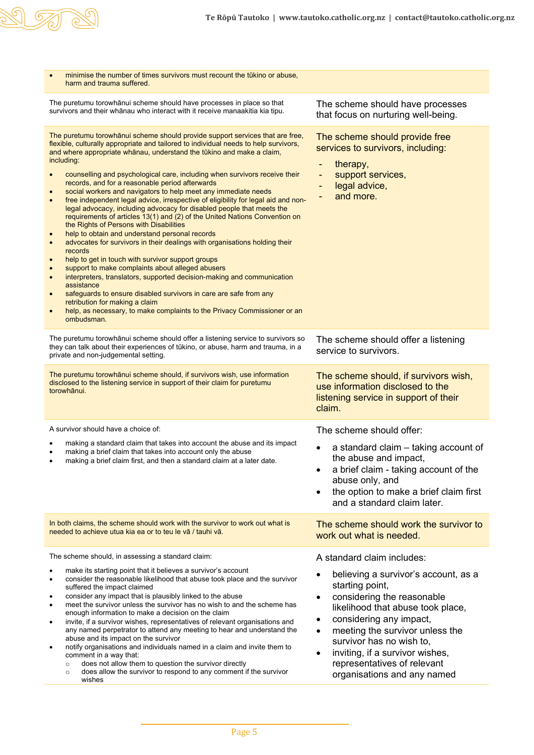

| minimise the number of times survivors must recount the tūkino or abuse.<br>harm and trauma suffered.                                                                                                                                                                                                                                                                                                                                                                                                                                                                                                                                                                                                                                                                                                                                                                                                                                                                                                                                                                                                                                                                                                                                                                                                                                                                             |                                                                                                                                                                                                                                                                                                                                                                                                 |
|-----------------------------------------------------------------------------------------------------------------------------------------------------------------------------------------------------------------------------------------------------------------------------------------------------------------------------------------------------------------------------------------------------------------------------------------------------------------------------------------------------------------------------------------------------------------------------------------------------------------------------------------------------------------------------------------------------------------------------------------------------------------------------------------------------------------------------------------------------------------------------------------------------------------------------------------------------------------------------------------------------------------------------------------------------------------------------------------------------------------------------------------------------------------------------------------------------------------------------------------------------------------------------------------------------------------------------------------------------------------------------------|-------------------------------------------------------------------------------------------------------------------------------------------------------------------------------------------------------------------------------------------------------------------------------------------------------------------------------------------------------------------------------------------------|
| The puretumu torowhānui scheme should have processes in place so that<br>survivors and their whānau who interact with it receive manaakitia kia tipu.                                                                                                                                                                                                                                                                                                                                                                                                                                                                                                                                                                                                                                                                                                                                                                                                                                                                                                                                                                                                                                                                                                                                                                                                                             | The scheme should have processes<br>that focus on nurturing well-being.                                                                                                                                                                                                                                                                                                                         |
| The puretumu torowhānui scheme should provide support services that are free,<br>flexible, culturally appropriate and tailored to individual needs to help survivors,<br>and where appropriate whānau, understand the tūkino and make a claim,<br>including:<br>counselling and psychological care, including when survivors receive their<br>records, and for a reasonable period afterwards<br>social workers and navigators to help meet any immediate needs<br>free independent legal advice, irrespective of eligibility for legal aid and non-<br>$\bullet$<br>legal advocacy, including advocacy for disabled people that meets the<br>requirements of articles 13(1) and (2) of the United Nations Convention on<br>the Rights of Persons with Disabilities<br>help to obtain and understand personal records<br>$\bullet$<br>advocates for survivors in their dealings with organisations holding their<br>$\bullet$<br>records<br>help to get in touch with survivor support groups<br>$\bullet$<br>support to make complaints about alleged abusers<br>$\bullet$<br>interpreters, translators, supported decision-making and communication<br>$\bullet$<br>assistance<br>safeguards to ensure disabled survivors in care are safe from any<br>retribution for making a claim<br>help, as necessary, to make complaints to the Privacy Commissioner or an<br>ombudsman. | The scheme should provide free<br>services to survivors, including:<br>therapy,<br>support services,<br>$\overline{\phantom{a}}$<br>legal advice,<br>-<br>and more.                                                                                                                                                                                                                             |
| The puretumu torowhānui scheme should offer a listening service to survivors so<br>they can talk about their experiences of tūkino, or abuse, harm and trauma, in a<br>private and non-judgemental setting.                                                                                                                                                                                                                                                                                                                                                                                                                                                                                                                                                                                                                                                                                                                                                                                                                                                                                                                                                                                                                                                                                                                                                                       | The scheme should offer a listening<br>service to survivors.                                                                                                                                                                                                                                                                                                                                    |
| The puretumu torowhānui scheme should, if survivors wish, use information<br>disclosed to the listening service in support of their claim for puretumu<br>torowhānui.                                                                                                                                                                                                                                                                                                                                                                                                                                                                                                                                                                                                                                                                                                                                                                                                                                                                                                                                                                                                                                                                                                                                                                                                             | The scheme should, if survivors wish,<br>use information disclosed to the<br>listening service in support of their<br>claim.                                                                                                                                                                                                                                                                    |
| A survivor should have a choice of:                                                                                                                                                                                                                                                                                                                                                                                                                                                                                                                                                                                                                                                                                                                                                                                                                                                                                                                                                                                                                                                                                                                                                                                                                                                                                                                                               | The scheme should offer:                                                                                                                                                                                                                                                                                                                                                                        |
| making a standard claim that takes into account the abuse and its impact<br>٠<br>making a brief claim that takes into account only the abuse<br>٠<br>making a brief claim first, and then a standard claim at a later date.                                                                                                                                                                                                                                                                                                                                                                                                                                                                                                                                                                                                                                                                                                                                                                                                                                                                                                                                                                                                                                                                                                                                                       | a standard claim – taking account of<br>the abuse and impact,<br>a brief claim - taking account of the<br>abuse only, and<br>the option to make a brief claim first<br>$\bullet$<br>and a standard claim later.                                                                                                                                                                                 |
| In both claims, the scheme should work with the survivor to work out what is<br>needed to achieve utua kia ea or to teu le vā / tauhi vā.                                                                                                                                                                                                                                                                                                                                                                                                                                                                                                                                                                                                                                                                                                                                                                                                                                                                                                                                                                                                                                                                                                                                                                                                                                         | The scheme should work the survivor to<br>work out what is needed.                                                                                                                                                                                                                                                                                                                              |
| The scheme should, in assessing a standard claim:<br>make its starting point that it believes a survivor's account<br>consider the reasonable likelihood that abuse took place and the survivor<br>suffered the impact claimed<br>consider any impact that is plausibly linked to the abuse<br>٠<br>meet the survivor unless the survivor has no wish to and the scheme has<br>$\bullet$<br>enough information to make a decision on the claim<br>invite, if a survivor wishes, representatives of relevant organisations and<br>$\bullet$<br>any named perpetrator to attend any meeting to hear and understand the<br>abuse and its impact on the survivor<br>notify organisations and individuals named in a claim and invite them to<br>$\bullet$<br>comment in a way that:<br>does not allow them to question the survivor directly<br>$\circ$<br>does allow the survivor to respond to any comment if the survivor<br>$\circ$<br>wishes                                                                                                                                                                                                                                                                                                                                                                                                                                     | A standard claim includes:<br>believing a survivor's account, as a<br>starting point,<br>considering the reasonable<br>$\bullet$<br>likelihood that abuse took place,<br>considering any impact,<br>٠<br>meeting the survivor unless the<br>$\bullet$<br>survivor has no wish to,<br>inviting, if a survivor wishes,<br>$\bullet$<br>representatives of relevant<br>organisations and any named |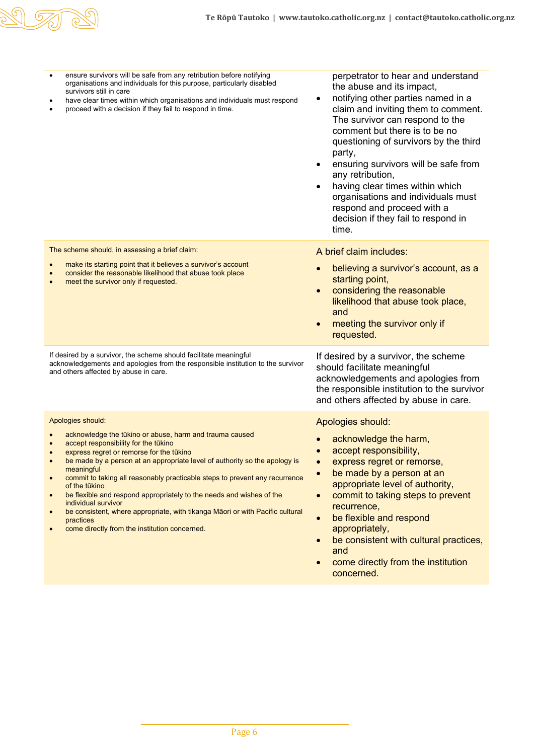

| ensure survivors will be safe from any retribution before notifying<br>$\bullet$<br>organisations and individuals for this purpose, particularly disabled<br>survivors still in care<br>have clear times within which organisations and individuals must respond<br>٠<br>proceed with a decision if they fail to respond in time.<br>$\bullet$                                                                                                                                                                                                                                                                                          | perpetrator to hear and understand<br>the abuse and its impact,<br>notifying other parties named in a<br>$\bullet$<br>claim and inviting them to comment.<br>The survivor can respond to the<br>comment but there is to be no<br>questioning of survivors by the third<br>party,<br>ensuring survivors will be safe from<br>$\bullet$<br>any retribution,<br>having clear times within which<br>organisations and individuals must<br>respond and proceed with a<br>decision if they fail to respond in<br>time. |
|-----------------------------------------------------------------------------------------------------------------------------------------------------------------------------------------------------------------------------------------------------------------------------------------------------------------------------------------------------------------------------------------------------------------------------------------------------------------------------------------------------------------------------------------------------------------------------------------------------------------------------------------|------------------------------------------------------------------------------------------------------------------------------------------------------------------------------------------------------------------------------------------------------------------------------------------------------------------------------------------------------------------------------------------------------------------------------------------------------------------------------------------------------------------|
| The scheme should, in assessing a brief claim:<br>make its starting point that it believes a survivor's account<br>$\bullet$<br>consider the reasonable likelihood that abuse took place<br>meet the survivor only if requested.<br>$\bullet$                                                                                                                                                                                                                                                                                                                                                                                           | A brief claim includes:<br>believing a survivor's account, as a<br>starting point,<br>considering the reasonable<br>$\bullet$<br>likelihood that abuse took place,<br>and<br>meeting the survivor only if<br>$\bullet$<br>requested.                                                                                                                                                                                                                                                                             |
| If desired by a survivor, the scheme should facilitate meaningful<br>acknowledgements and apologies from the responsible institution to the survivor<br>and others affected by abuse in care.                                                                                                                                                                                                                                                                                                                                                                                                                                           | If desired by a survivor, the scheme<br>should facilitate meaningful<br>acknowledgements and apologies from<br>the responsible institution to the survivor<br>and others affected by abuse in care.                                                                                                                                                                                                                                                                                                              |
| Apologies should:<br>acknowledge the tūkino or abuse, harm and trauma caused<br>accept responsibility for the tūkino<br>$\bullet$<br>express regret or remorse for the tūkino<br>be made by a person at an appropriate level of authority so the apology is<br>meaningful an<br>commit to taking all reasonably practicable steps to prevent any recurrence<br>of the tūkino<br>be flexible and respond appropriately to the needs and wishes of the<br>individual survivor<br>be consistent, where appropriate, with tikanga Maori or with Pacific cultural<br>$\bullet$<br>practices<br>come directly from the institution concerned. | Apologies should:<br>acknowledge the harm,<br>accept responsibility,<br>express regret or remorse,<br>be made by a person at an<br>$\bullet$<br>appropriate level of authority,<br>commit to taking steps to prevent<br>$\bullet$<br>recurrence,<br>be flexible and respond<br>$\bullet$<br>appropriately,<br>be consistent with cultural practices,<br>$\bullet$<br>and<br>come directly from the institution<br>concerned.                                                                                     |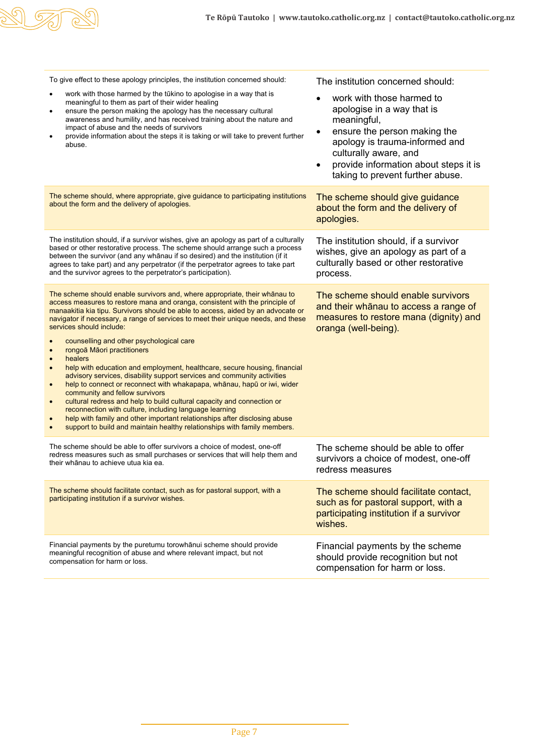

| To give effect to these apology principles, the institution concerned should:                                                                                                                                                                                                                                                                                                                                                                                                                                                                                                                                                                                                                                                                                                                                                                                                                                                                                                                                                                                                           | The institution concerned should:                                                                                                                                                                                                                                                     |
|-----------------------------------------------------------------------------------------------------------------------------------------------------------------------------------------------------------------------------------------------------------------------------------------------------------------------------------------------------------------------------------------------------------------------------------------------------------------------------------------------------------------------------------------------------------------------------------------------------------------------------------------------------------------------------------------------------------------------------------------------------------------------------------------------------------------------------------------------------------------------------------------------------------------------------------------------------------------------------------------------------------------------------------------------------------------------------------------|---------------------------------------------------------------------------------------------------------------------------------------------------------------------------------------------------------------------------------------------------------------------------------------|
| work with those harmed by the tūkino to apologise in a way that is<br>meaningful to them as part of their wider healing<br>ensure the person making the apology has the necessary cultural<br>$\bullet$<br>awareness and humility, and has received training about the nature and<br>impact of abuse and the needs of survivors<br>provide information about the steps it is taking or will take to prevent further<br>abuse.                                                                                                                                                                                                                                                                                                                                                                                                                                                                                                                                                                                                                                                           | work with those harmed to<br>$\bullet$<br>apologise in a way that is<br>meaningful,<br>ensure the person making the<br>$\bullet$<br>apology is trauma-informed and<br>culturally aware, and<br>provide information about steps it is<br>$\bullet$<br>taking to prevent further abuse. |
| The scheme should, where appropriate, give guidance to participating institutions<br>about the form and the delivery of apologies.                                                                                                                                                                                                                                                                                                                                                                                                                                                                                                                                                                                                                                                                                                                                                                                                                                                                                                                                                      | The scheme should give guidance<br>about the form and the delivery of<br>apologies.                                                                                                                                                                                                   |
| The institution should, if a survivor wishes, give an apology as part of a culturally<br>based or other restorative process. The scheme should arrange such a process<br>between the survivor (and any whanau if so desired) and the institution (if it<br>agrees to take part) and any perpetrator (if the perpetrator agrees to take part<br>and the survivor agrees to the perpetrator's participation).                                                                                                                                                                                                                                                                                                                                                                                                                                                                                                                                                                                                                                                                             | The institution should, if a survivor<br>wishes, give an apology as part of a<br>culturally based or other restorative<br>process.                                                                                                                                                    |
| The scheme should enable survivors and, where appropriate, their whānau to<br>access measures to restore mana and oranga, consistent with the principle of<br>manaakitia kia tipu. Survivors should be able to access, aided by an advocate or<br>navigator if necessary, a range of services to meet their unique needs, and these<br>services should include:<br>counselling and other psychological care<br>rongoā Māori practitioners<br>$\bullet$<br>healers<br>$\bullet$<br>help with education and employment, healthcare, secure housing, financial<br>$\bullet$<br>advisory services, disability support services and community activities<br>help to connect or reconnect with whakapapa, whānau, hapū or iwi, wider<br>community and fellow survivors<br>cultural redress and help to build cultural capacity and connection or<br>reconnection with culture, including language learning<br>help with family and other important relationships after disclosing abuse<br>$\bullet$<br>support to build and maintain healthy relationships with family members.<br>$\bullet$ | The scheme should enable survivors<br>and their whanau to access a range of<br>measures to restore mana (dignity) and<br>oranga (well-being).                                                                                                                                         |
| The scheme should be able to offer survivors a choice of modest, one-off<br>redress measures such as small purchases or services that will help them and<br>their whānau to achieve utua kia ea.                                                                                                                                                                                                                                                                                                                                                                                                                                                                                                                                                                                                                                                                                                                                                                                                                                                                                        | The scheme should be able to offer<br>survivors a choice of modest, one-off<br>redress measures                                                                                                                                                                                       |
| The scheme should facilitate contact, such as for pastoral support, with a<br>participating institution if a survivor wishes.                                                                                                                                                                                                                                                                                                                                                                                                                                                                                                                                                                                                                                                                                                                                                                                                                                                                                                                                                           | The scheme should facilitate contact,<br>such as for pastoral support, with a<br>participating institution if a survivor<br>wishes.                                                                                                                                                   |
| Financial payments by the puretumu torowhanui scheme should provide<br>meaningful recognition of abuse and where relevant impact, but not<br>compensation for harm or loss.                                                                                                                                                                                                                                                                                                                                                                                                                                                                                                                                                                                                                                                                                                                                                                                                                                                                                                             | Financial payments by the scheme<br>should provide recognition but not<br>compensation for harm or loss.                                                                                                                                                                              |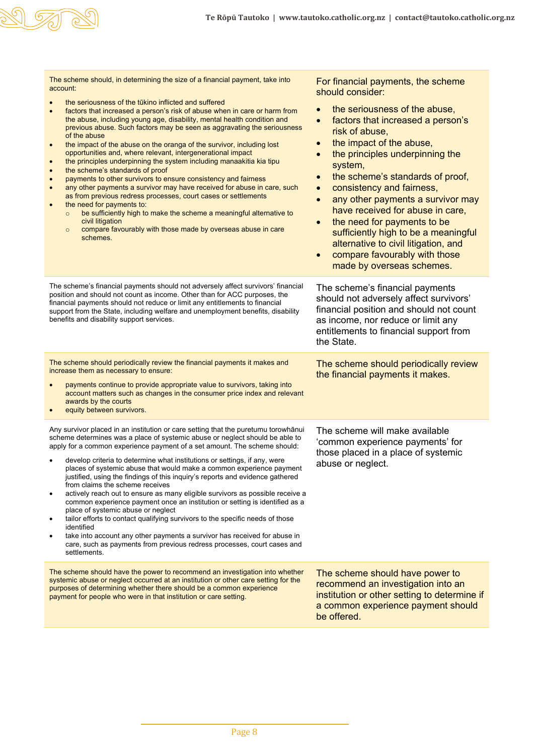| The scheme should, in determining the size of a financial payment, take into<br>account:<br>the seriousness of the tūkino inflicted and suffered<br>factors that increased a person's risk of abuse when in care or harm from<br>$\bullet$<br>the abuse, including young age, disability, mental health condition and<br>previous abuse. Such factors may be seen as aggravating the seriousness<br>of the abuse<br>the impact of the abuse on the oranga of the survivor, including lost<br>$\bullet$<br>opportunities and, where relevant, intergenerational impact<br>the principles underpinning the system including manaakitia kia tipu<br>$\bullet$<br>the scheme's standards of proof<br>$\bullet$<br>payments to other survivors to ensure consistency and fairness<br>$\bullet$<br>any other payments a survivor may have received for abuse in care, such<br>$\bullet$<br>as from previous redress processes, court cases or settlements<br>the need for payments to:<br>$\bullet$<br>be sufficiently high to make the scheme a meaningful alternative to<br>$\circ$<br>civil litigation<br>compare favourably with those made by overseas abuse in care<br>$\circ$<br>schemes. | For financial payments, the scheme<br>should consider:<br>the seriousness of the abuse,<br>factors that increased a person's<br>$\bullet$<br>risk of abuse,<br>the impact of the abuse,<br>$\bullet$<br>the principles underpinning the<br>$\bullet$<br>system,<br>the scheme's standards of proof,<br>$\bullet$<br>consistency and fairness,<br>$\bullet$<br>any other payments a survivor may<br>$\bullet$<br>have received for abuse in care,<br>the need for payments to be<br>$\bullet$<br>sufficiently high to be a meaningful<br>alternative to civil litigation, and<br>compare favourably with those<br>$\bullet$ |
|--------------------------------------------------------------------------------------------------------------------------------------------------------------------------------------------------------------------------------------------------------------------------------------------------------------------------------------------------------------------------------------------------------------------------------------------------------------------------------------------------------------------------------------------------------------------------------------------------------------------------------------------------------------------------------------------------------------------------------------------------------------------------------------------------------------------------------------------------------------------------------------------------------------------------------------------------------------------------------------------------------------------------------------------------------------------------------------------------------------------------------------------------------------------------------------------|----------------------------------------------------------------------------------------------------------------------------------------------------------------------------------------------------------------------------------------------------------------------------------------------------------------------------------------------------------------------------------------------------------------------------------------------------------------------------------------------------------------------------------------------------------------------------------------------------------------------------|
| The scheme's financial payments should not adversely affect survivors' financial<br>position and should not count as income. Other than for ACC purposes, the<br>financial payments should not reduce or limit any entitlements to financial<br>support from the State, including welfare and unemployment benefits, disability<br>benefits and disability support services.                                                                                                                                                                                                                                                                                                                                                                                                                                                                                                                                                                                                                                                                                                                                                                                                               | made by overseas schemes.<br>The scheme's financial payments<br>should not adversely affect survivors'<br>financial position and should not count<br>as income, nor reduce or limit any<br>entitlements to financial support from<br>the State.                                                                                                                                                                                                                                                                                                                                                                            |
| The scheme should periodically review the financial payments it makes and<br>increase them as necessary to ensure:<br>payments continue to provide appropriate value to survivors, taking into<br>account matters such as changes in the consumer price index and relevant<br>awards by the courts<br>equity between survivors.                                                                                                                                                                                                                                                                                                                                                                                                                                                                                                                                                                                                                                                                                                                                                                                                                                                            | The scheme should periodically review<br>the financial payments it makes.                                                                                                                                                                                                                                                                                                                                                                                                                                                                                                                                                  |
| Any survivor placed in an institution or care setting that the puretumu torowhānui<br>scheme determines was a place of systemic abuse or neglect should be able to<br>apply for a common experience payment of a set amount. The scheme should:<br>develop criteria to determine what institutions or settings, if any, were<br>places of systemic abuse that would make a common experience payment<br>justified, using the findings of this inquiry's reports and evidence gathered<br>from claims the scheme receives<br>actively reach out to ensure as many eligible survivors as possible receive a<br>common experience payment once an institution or setting is identified as a<br>place of systemic abuse or neglect<br>tailor efforts to contact qualifying survivors to the specific needs of those<br>identified<br>take into account any other payments a survivor has received for abuse in<br>care, such as payments from previous redress processes, court cases and<br>settlements.                                                                                                                                                                                      | The scheme will make available<br>'common experience payments' for<br>those placed in a place of systemic<br>abuse or neglect.                                                                                                                                                                                                                                                                                                                                                                                                                                                                                             |
| The scheme should have the power to recommend an investigation into whether<br>systemic abuse or neglect occurred at an institution or other care setting for the<br>purposes of determining whether there should be a common experience<br>payment for people who were in that institution or care setting.                                                                                                                                                                                                                                                                                                                                                                                                                                                                                                                                                                                                                                                                                                                                                                                                                                                                               | The scheme should have power to<br>recommend an investigation into an<br>institution or other setting to determine if<br>a common experience payment should<br>be offered.                                                                                                                                                                                                                                                                                                                                                                                                                                                 |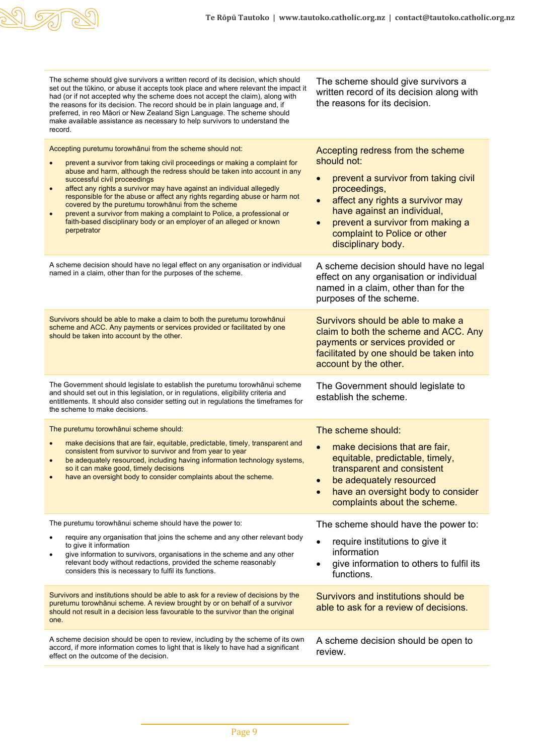

| The scheme should give survivors a written record of its decision, which should<br>set out the tūkino, or abuse it accepts took place and where relevant the impact it<br>had (or if not accepted why the scheme does not accept the claim), along with<br>the reasons for its decision. The record should be in plain language and, if<br>preferred, in reo Māori or New Zealand Sign Language. The scheme should<br>make available assistance as necessary to help survivors to understand the<br>record.                                                                                                                                                 | The scheme should give survivors a<br>written record of its decision along with<br>the reasons for its decision.                                                                                                                                                                                             |
|-------------------------------------------------------------------------------------------------------------------------------------------------------------------------------------------------------------------------------------------------------------------------------------------------------------------------------------------------------------------------------------------------------------------------------------------------------------------------------------------------------------------------------------------------------------------------------------------------------------------------------------------------------------|--------------------------------------------------------------------------------------------------------------------------------------------------------------------------------------------------------------------------------------------------------------------------------------------------------------|
| Accepting puretumu torowhānui from the scheme should not:<br>prevent a survivor from taking civil proceedings or making a complaint for<br>abuse and harm, although the redress should be taken into account in any<br>successful civil proceedings<br>affect any rights a survivor may have against an individual allegedly<br>$\bullet$<br>responsible for the abuse or affect any rights regarding abuse or harm not<br>covered by the puretumu torowhānui from the scheme<br>prevent a survivor from making a complaint to Police, a professional or<br>$\bullet$<br>faith-based disciplinary body or an employer of an alleged or known<br>perpetrator | Accepting redress from the scheme<br>should not:<br>prevent a survivor from taking civil<br>$\bullet$<br>proceedings,<br>affect any rights a survivor may<br>$\bullet$<br>have against an individual,<br>prevent a survivor from making a<br>$\bullet$<br>complaint to Police or other<br>disciplinary body. |
| A scheme decision should have no legal effect on any organisation or individual<br>named in a claim, other than for the purposes of the scheme.                                                                                                                                                                                                                                                                                                                                                                                                                                                                                                             | A scheme decision should have no legal<br>effect on any organisation or individual<br>named in a claim, other than for the<br>purposes of the scheme.                                                                                                                                                        |
| Survivors should be able to make a claim to both the puretumu torowhanui<br>scheme and ACC. Any payments or services provided or facilitated by one<br>should be taken into account by the other.                                                                                                                                                                                                                                                                                                                                                                                                                                                           | Survivors should be able to make a<br>claim to both the scheme and ACC. Any<br>payments or services provided or<br>facilitated by one should be taken into<br>account by the other.                                                                                                                          |
| The Government should legislate to establish the puretumu torowhānui scheme<br>and should set out in this legislation, or in regulations, eligibility criteria and<br>entitlements. It should also consider setting out in regulations the timeframes for<br>the scheme to make decisions.                                                                                                                                                                                                                                                                                                                                                                  | The Government should legislate to<br>establish the scheme.                                                                                                                                                                                                                                                  |
| The puretumu torowhānui scheme should:<br>make decisions that are fair, equitable, predictable, timely, transparent and<br>$\bullet$<br>consistent from survivor to survivor and from year to year<br>be adequately resourced, including having information technology systems,<br>$\bullet$<br>so it can make good, timely decisions<br>have an oversight body to consider complaints about the scheme.                                                                                                                                                                                                                                                    | The scheme should:<br>make decisions that are fair,<br>$\bullet$<br>equitable, predictable, timely,<br>transparent and consistent<br>be adequately resourced<br>have an oversight body to consider<br>$\bullet$<br>complaints about the scheme.                                                              |
| The puretumu torowhānui scheme should have the power to:<br>require any organisation that joins the scheme and any other relevant body<br>to give it information<br>give information to survivors, organisations in the scheme and any other<br>relevant body without redactions, provided the scheme reasonably<br>considers this is necessary to fulfil its functions.                                                                                                                                                                                                                                                                                    | The scheme should have the power to:<br>require institutions to give it<br>$\bullet$<br>information<br>give information to others to fulfil its<br>$\bullet$<br>functions.                                                                                                                                   |
| Survivors and institutions should be able to ask for a review of decisions by the<br>puretumu torowhānui scheme. A review brought by or on behalf of a survivor<br>should not result in a decision less favourable to the survivor than the original<br>one.                                                                                                                                                                                                                                                                                                                                                                                                | Survivors and institutions should be<br>able to ask for a review of decisions.                                                                                                                                                                                                                               |
| A scheme decision should be open to review, including by the scheme of its own<br>accord, if more information comes to light that is likely to have had a significant<br>effect on the outcome of the decision.                                                                                                                                                                                                                                                                                                                                                                                                                                             | A scheme decision should be open to<br>review.                                                                                                                                                                                                                                                               |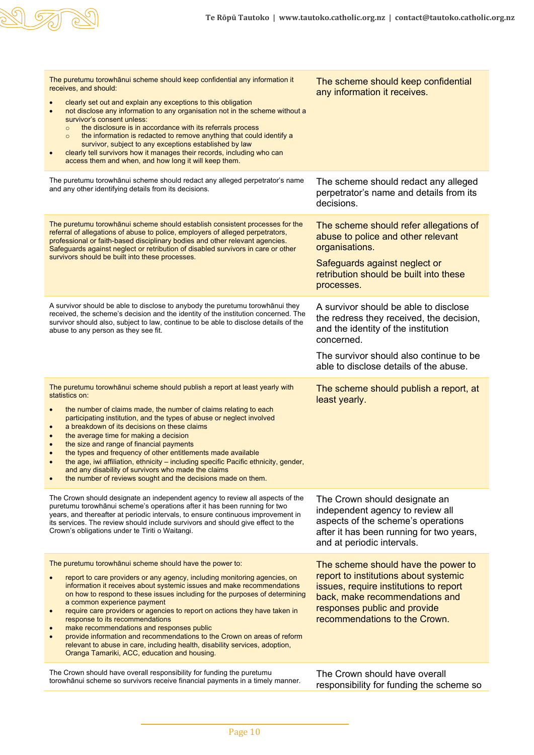π

| The puretumu torowhanui scheme should keep confidential any information it<br>receives, and should:<br>clearly set out and explain any exceptions to this obligation<br>not disclose any information to any organisation not in the scheme without a<br>$\bullet$<br>survivor's consent unless:<br>the disclosure is in accordance with its referrals process<br>$\circ$<br>the information is redacted to remove anything that could identify a<br>$\circ$<br>survivor, subject to any exceptions established by law<br>clearly tell survivors how it manages their records, including who can<br>access them and when, and how long it will keep them.                                                                                     | The scheme should keep confidential<br>any information it receives.                                                                                                                                                         |
|----------------------------------------------------------------------------------------------------------------------------------------------------------------------------------------------------------------------------------------------------------------------------------------------------------------------------------------------------------------------------------------------------------------------------------------------------------------------------------------------------------------------------------------------------------------------------------------------------------------------------------------------------------------------------------------------------------------------------------------------|-----------------------------------------------------------------------------------------------------------------------------------------------------------------------------------------------------------------------------|
| The puretumu torowhānui scheme should redact any alleged perpetrator's name<br>and any other identifying details from its decisions.                                                                                                                                                                                                                                                                                                                                                                                                                                                                                                                                                                                                         | The scheme should redact any alleged<br>perpetrator's name and details from its<br>decisions.                                                                                                                               |
| The puretumu torowhānui scheme should establish consistent processes for the<br>referral of allegations of abuse to police, employers of alleged perpetrators,<br>professional or faith-based disciplinary bodies and other relevant agencies.<br>Safeguards against neglect or retribution of disabled survivors in care or other<br>survivors should be built into these processes.                                                                                                                                                                                                                                                                                                                                                        | The scheme should refer allegations of<br>abuse to police and other relevant<br>organisations.<br>Safeguards against neglect or<br>retribution should be built into these<br>processes.                                     |
| A survivor should be able to disclose to anybody the puretumu torowhanui they<br>received, the scheme's decision and the identity of the institution concerned. The<br>survivor should also, subject to law, continue to be able to disclose details of the<br>abuse to any person as they see fit.                                                                                                                                                                                                                                                                                                                                                                                                                                          | A survivor should be able to disclose<br>the redress they received, the decision,<br>and the identity of the institution<br>concerned.<br>The survivor should also continue to be<br>able to disclose details of the abuse. |
| The puretumu torowhānui scheme should publish a report at least yearly with<br>statistics on:<br>the number of claims made, the number of claims relating to each<br>$\bullet$<br>participating institution, and the types of abuse or neglect involved<br>a breakdown of its decisions on these claims<br>the average time for making a decision<br>$\bullet$<br>the size and range of financial payments<br>$\bullet$<br>the types and frequency of other entitlements made available<br>$\bullet$<br>the age, iwi affiliation, ethnicity - including specific Pacific ethnicity, gender,<br>and any disability of survivors who made the claims<br>the number of reviews sought and the decisions made on them.                           | The scheme should publish a report, at<br>least yearly.                                                                                                                                                                     |
| The Crown should designate an independent agency to review all aspects of the<br>puretumu torowhānui scheme's operations after it has been running for two<br>years, and thereafter at periodic intervals, to ensure continuous improvement in<br>its services. The review should include survivors and should give effect to the<br>Crown's obligations under te Tiriti o Waitangi.                                                                                                                                                                                                                                                                                                                                                         | The Crown should designate an<br>independent agency to review all<br>aspects of the scheme's operations<br>after it has been running for two years,<br>and at periodic intervals.                                           |
| The puretumu torowhānui scheme should have the power to:<br>report to care providers or any agency, including monitoring agencies, on<br>information it receives about systemic issues and make recommendations<br>on how to respond to these issues including for the purposes of determining<br>a common experience payment<br>require care providers or agencies to report on actions they have taken in<br>$\bullet$<br>response to its recommendations<br>make recommendations and responses public<br>$\bullet$<br>provide information and recommendations to the Crown on areas of reform<br>$\bullet$<br>relevant to abuse in care, including health, disability services, adoption,<br>Oranga Tamariki, ACC, education and housing. | The scheme should have the power to<br>report to institutions about systemic<br>issues, require institutions to report<br>back, make recommendations and<br>responses public and provide<br>recommendations to the Crown.   |
| The Crown should have overall responsibility for funding the puretumu<br>torowhānui scheme so survivors receive financial payments in a timely manner.                                                                                                                                                                                                                                                                                                                                                                                                                                                                                                                                                                                       | The Crown should have overall<br>responsibility for funding the scheme so                                                                                                                                                   |

 $\overline{\mathbb{Q}}$ 

 $\varpi$ 

S)

6)

Г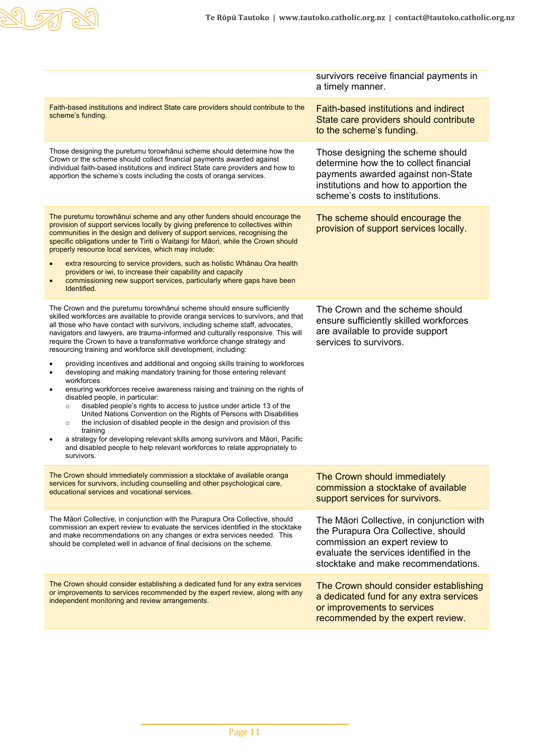|                                                                                                                                                                                                                                                                                                                                                                                                                                                                                                                                                                                                                                                                                                                                                                                                                                                                                                                                                                                                                                                                                                                                                                                                                             | survivors receive financial payments in<br>a timely manner.                                                                                                                                          |
|-----------------------------------------------------------------------------------------------------------------------------------------------------------------------------------------------------------------------------------------------------------------------------------------------------------------------------------------------------------------------------------------------------------------------------------------------------------------------------------------------------------------------------------------------------------------------------------------------------------------------------------------------------------------------------------------------------------------------------------------------------------------------------------------------------------------------------------------------------------------------------------------------------------------------------------------------------------------------------------------------------------------------------------------------------------------------------------------------------------------------------------------------------------------------------------------------------------------------------|------------------------------------------------------------------------------------------------------------------------------------------------------------------------------------------------------|
| Faith-based institutions and indirect State care providers should contribute to the<br>scheme's funding.                                                                                                                                                                                                                                                                                                                                                                                                                                                                                                                                                                                                                                                                                                                                                                                                                                                                                                                                                                                                                                                                                                                    | <b>Faith-based institutions and indirect</b><br>State care providers should contribute<br>to the scheme's funding.                                                                                   |
| Those designing the puretumu torowhānui scheme should determine how the<br>Crown or the scheme should collect financial payments awarded against<br>individual faith-based institutions and indirect State care providers and how to<br>apportion the scheme's costs including the costs of oranga services.                                                                                                                                                                                                                                                                                                                                                                                                                                                                                                                                                                                                                                                                                                                                                                                                                                                                                                                | Those designing the scheme should<br>determine how the to collect financial<br>payments awarded against non-State<br>institutions and how to apportion the<br>scheme's costs to institutions.        |
| The puretumu torowhānui scheme and any other funders should encourage the<br>provision of support services locally by giving preference to collectives within<br>communities in the design and delivery of support services, recognising the<br>specific obligations under te Tiriti o Waitangi for Māori, while the Crown should<br>properly resource local services, which may include:<br>extra resourcing to service providers, such as holistic Whanau Ora health<br>$\bullet$<br>providers or iwi, to increase their capability and capacity<br>commissioning new support services, particularly where gaps have been<br>$\bullet$<br>Identified.                                                                                                                                                                                                                                                                                                                                                                                                                                                                                                                                                                     | The scheme should encourage the<br>provision of support services locally.                                                                                                                            |
| The Crown and the puretumu torowhānui scheme should ensure sufficiently<br>skilled workforces are available to provide oranga services to survivors, and that<br>all those who have contact with survivors, including scheme staff, advocates,<br>navigators and lawyers, are trauma-informed and culturally responsive. This will<br>require the Crown to have a transformative workforce change strategy and<br>resourcing training and workforce skill development, including:<br>providing incentives and additional and ongoing skills training to workforces<br>developing and making mandatory training for those entering relevant<br>٠<br>workforces<br>ensuring workforces receive awareness raising and training on the rights of<br>٠<br>disabled people, in particular:<br>disabled people's rights to access to justice under article 13 of the<br>$\circ$<br>United Nations Convention on the Rights of Persons with Disabilities<br>the inclusion of disabled people in the design and provision of this<br>$\circ$<br>training<br>a strategy for developing relevant skills among survivors and Māori, Pacific<br>and disabled people to help relevant workforces to relate appropriately to<br>survivors. | The Crown and the scheme should<br>ensure sufficiently skilled workforces<br>are available to provide support<br>services to survivors.                                                              |
| The Crown should immediately commission a stocktake of available oranga<br>services for survivors, including counselling and other psychological care,<br>educational services and vocational services.                                                                                                                                                                                                                                                                                                                                                                                                                                                                                                                                                                                                                                                                                                                                                                                                                                                                                                                                                                                                                     | The Crown should immediately<br>commission a stocktake of available<br>support services for survivors.                                                                                               |
| The Māori Collective, in conjunction with the Purapura Ora Collective, should<br>commission an expert review to evaluate the services identified in the stocktake<br>and make recommendations on any changes or extra services needed. This<br>should be completed well in advance of final decisions on the scheme.                                                                                                                                                                                                                                                                                                                                                                                                                                                                                                                                                                                                                                                                                                                                                                                                                                                                                                        | The Māori Collective, in conjunction with<br>the Purapura Ora Collective, should<br>commission an expert review to<br>evaluate the services identified in the<br>stocktake and make recommendations. |
| The Crown should consider establishing a dedicated fund for any extra services<br>or improvements to services recommended by the expert review, along with any<br>independent monitoring and review arrangements.                                                                                                                                                                                                                                                                                                                                                                                                                                                                                                                                                                                                                                                                                                                                                                                                                                                                                                                                                                                                           | The Crown should consider establishing<br>a dedicated fund for any extra services<br>or improvements to services<br>recommended by the expert review.                                                |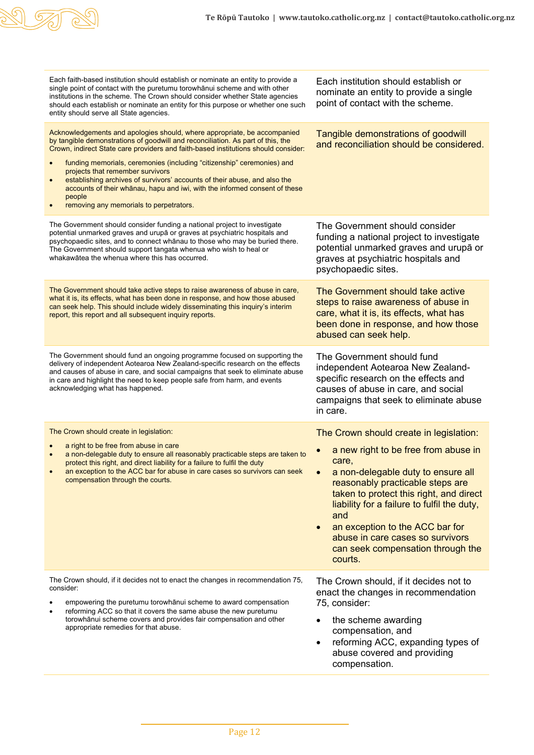

| Each faith-based institution should establish or nominate an entity to provide a<br>single point of contact with the puretumu torowhanui scheme and with other<br>institutions in the scheme. The Crown should consider whether State agencies<br>should each establish or nominate an entity for this purpose or whether one such<br>entity should serve all State agencies.                                                                                                                                                                                                                     | Each institution should establish or<br>nominate an entity to provide a single<br>point of contact with the scheme.                                                                                                                                                                                                                                                                        |
|---------------------------------------------------------------------------------------------------------------------------------------------------------------------------------------------------------------------------------------------------------------------------------------------------------------------------------------------------------------------------------------------------------------------------------------------------------------------------------------------------------------------------------------------------------------------------------------------------|--------------------------------------------------------------------------------------------------------------------------------------------------------------------------------------------------------------------------------------------------------------------------------------------------------------------------------------------------------------------------------------------|
| Acknowledgements and apologies should, where appropriate, be accompanied<br>by tangible demonstrations of goodwill and reconciliation. As part of this, the<br>Crown, indirect State care providers and faith-based institutions should consider:<br>funding memorials, ceremonies (including "citizenship" ceremonies) and<br>projects that remember survivors<br>establishing archives of survivors' accounts of their abuse, and also the<br>$\bullet$<br>accounts of their whanau, hapu and iwi, with the informed consent of these<br>people<br>removing any memorials to perpetrators.<br>٠ | Tangible demonstrations of goodwill<br>and reconciliation should be considered.                                                                                                                                                                                                                                                                                                            |
| The Government should consider funding a national project to investigate<br>potential unmarked graves and urupā or graves at psychiatric hospitals and<br>psychopaedic sites, and to connect whānau to those who may be buried there.<br>The Government should support tangata whenua who wish to heal or<br>whakawatea the whenua where this has occurred.                                                                                                                                                                                                                                       | The Government should consider<br>funding a national project to investigate<br>potential unmarked graves and urupā or<br>graves at psychiatric hospitals and<br>psychopaedic sites.                                                                                                                                                                                                        |
| The Government should take active steps to raise awareness of abuse in care,<br>what it is, its effects, what has been done in response, and how those abused<br>can seek help. This should include widely disseminating this inquiry's interim<br>report, this report and all subsequent inquiry reports.                                                                                                                                                                                                                                                                                        | The Government should take active<br>steps to raise awareness of abuse in<br>care, what it is, its effects, what has<br>been done in response, and how those<br>abused can seek help.                                                                                                                                                                                                      |
| The Government should fund an ongoing programme focused on supporting the<br>delivery of independent Aotearoa New Zealand-specific research on the effects<br>and causes of abuse in care, and social campaigns that seek to eliminate abuse<br>in care and highlight the need to keep people safe from harm, and events<br>acknowledging what has happened.                                                                                                                                                                                                                                      | The Government should fund<br>independent Aotearoa New Zealand-<br>specific research on the effects and<br>causes of abuse in care, and social<br>campaigns that seek to eliminate abuse<br>in care.                                                                                                                                                                                       |
| The Crown should create in legislation:<br>a right to be free from abuse in care<br>a non-delegable duty to ensure all reasonably practicable steps are taken to<br>$\bullet$<br>protect this right, and direct liability for a failure to fulfil the duty<br>an exception to the ACC bar for abuse in care cases so survivors can seek<br>compensation through the courts.                                                                                                                                                                                                                       | The Crown should create in legislation:<br>a new right to be free from abuse in<br>care,<br>a non-delegable duty to ensure all<br>reasonably practicable steps are<br>taken to protect this right, and direct<br>liability for a failure to fulfil the duty,<br>and<br>an exception to the ACC bar for<br>abuse in care cases so survivors<br>can seek compensation through the<br>courts. |
| The Crown should, if it decides not to enact the changes in recommendation 75,<br>consider:<br>empowering the puretumu torowhānui scheme to award compensation<br>reforming ACC so that it covers the same abuse the new puretumu<br>$\bullet$<br>torowhānui scheme covers and provides fair compensation and other<br>appropriate remedies for that abuse.                                                                                                                                                                                                                                       | The Crown should, if it decides not to<br>enact the changes in recommendation<br>75, consider:<br>the scheme awarding<br>compensation, and<br>reforming ACC, expanding types of<br>$\bullet$<br>abuse covered and providing<br>compensation.                                                                                                                                               |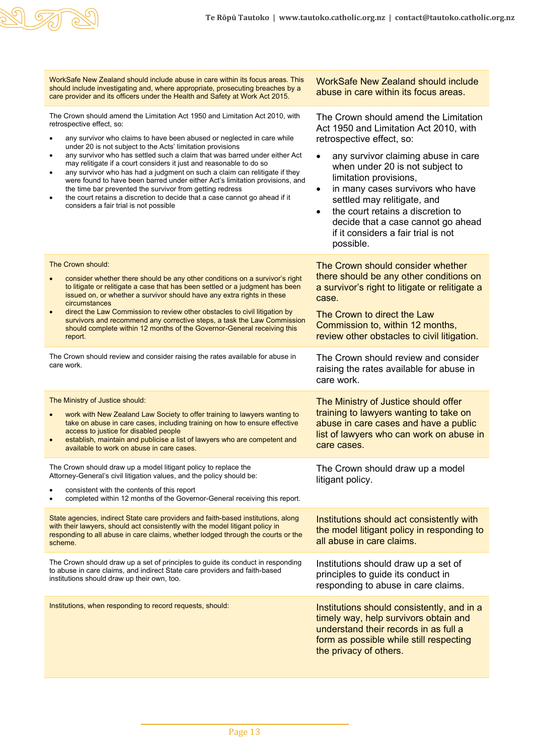

| WorkSafe New Zealand should include abuse in care within its focus areas. This<br>should include investigating and, where appropriate, prosecuting breaches by a<br>care provider and its officers under the Health and Safety at Work Act 2015.                                                                                                                                                                                                                                                                                                                                                                                                                                                                                                                                                | <b>WorkSafe New Zealand should include</b><br>abuse in care within its focus areas.                                                                                                                                                                                                                                                                                                                                             |
|-------------------------------------------------------------------------------------------------------------------------------------------------------------------------------------------------------------------------------------------------------------------------------------------------------------------------------------------------------------------------------------------------------------------------------------------------------------------------------------------------------------------------------------------------------------------------------------------------------------------------------------------------------------------------------------------------------------------------------------------------------------------------------------------------|---------------------------------------------------------------------------------------------------------------------------------------------------------------------------------------------------------------------------------------------------------------------------------------------------------------------------------------------------------------------------------------------------------------------------------|
| The Crown should amend the Limitation Act 1950 and Limitation Act 2010, with<br>retrospective effect, so:<br>any survivor who claims to have been abused or neglected in care while<br>under 20 is not subject to the Acts' limitation provisions<br>any survivor who has settled such a claim that was barred under either Act<br>$\bullet$<br>may relitigate if a court considers it just and reasonable to do so<br>any survivor who has had a judgment on such a claim can relitigate if they<br>$\bullet$<br>were found to have been barred under either Act's limitation provisions, and<br>the time bar prevented the survivor from getting redress<br>the court retains a discretion to decide that a case cannot go ahead if it<br>$\bullet$<br>considers a fair trial is not possible | The Crown should amend the Limitation<br>Act 1950 and Limitation Act 2010, with<br>retrospective effect, so:<br>any survivor claiming abuse in care<br>when under 20 is not subject to<br>limitation provisions,<br>in many cases survivors who have<br>settled may relitigate, and<br>the court retains a discretion to<br>$\bullet$<br>decide that a case cannot go ahead<br>if it considers a fair trial is not<br>possible. |
| The Crown should:<br>consider whether there should be any other conditions on a survivor's right<br>to litigate or relitigate a case that has been settled or a judgment has been<br>issued on, or whether a survivor should have any extra rights in these<br>circumstances<br>direct the Law Commission to review other obstacles to civil litigation by<br>survivors and recommend any corrective steps, a task the Law Commission<br>should complete within 12 months of the Governor-General receiving this<br>report.                                                                                                                                                                                                                                                                     | The Crown should consider whether<br>there should be any other conditions on<br>a survivor's right to litigate or relitigate a<br>case.<br>The Crown to direct the Law<br>Commission to, within 12 months,<br>review other obstacles to civil litigation.                                                                                                                                                                       |
| The Crown should review and consider raising the rates available for abuse in<br>care work.                                                                                                                                                                                                                                                                                                                                                                                                                                                                                                                                                                                                                                                                                                     | The Crown should review and consider<br>raising the rates available for abuse in<br>care work.                                                                                                                                                                                                                                                                                                                                  |
| The Ministry of Justice should:<br>work with New Zealand Law Society to offer training to lawyers wanting to<br>take on abuse in care cases, including training on how to ensure effective<br>access to justice for disabled people<br>establish, maintain and publicise a list of lawyers who are competent and<br>$\bullet$<br>available to work on abuse in care cases.                                                                                                                                                                                                                                                                                                                                                                                                                      | The Ministry of Justice should offer<br>training to lawyers wanting to take on<br>abuse in care cases and have a public<br>list of lawyers who can work on abuse in<br>care cases.                                                                                                                                                                                                                                              |
| The Crown should draw up a model litigant policy to replace the<br>Attorney-General's civil litigation values, and the policy should be:<br>consistent with the contents of this report<br>completed within 12 months of the Governor-General receiving this report.                                                                                                                                                                                                                                                                                                                                                                                                                                                                                                                            | The Crown should draw up a model<br>litigant policy.                                                                                                                                                                                                                                                                                                                                                                            |
| State agencies, indirect State care providers and faith-based institutions, along<br>with their lawyers, should act consistently with the model litigant policy in<br>responding to all abuse in care claims, whether lodged through the courts or the<br>scheme.                                                                                                                                                                                                                                                                                                                                                                                                                                                                                                                               | Institutions should act consistently with<br>the model litigant policy in responding to<br>all abuse in care claims.                                                                                                                                                                                                                                                                                                            |
| The Crown should draw up a set of principles to guide its conduct in responding<br>to abuse in care claims, and indirect State care providers and faith-based<br>institutions should draw up their own, too.                                                                                                                                                                                                                                                                                                                                                                                                                                                                                                                                                                                    | Institutions should draw up a set of<br>principles to guide its conduct in<br>responding to abuse in care claims.                                                                                                                                                                                                                                                                                                               |
| Institutions, when responding to record requests, should:                                                                                                                                                                                                                                                                                                                                                                                                                                                                                                                                                                                                                                                                                                                                       | Institutions should consistently, and in a<br>timely way, help survivors obtain and<br>understand their records in as full a<br>form as possible while still respecting<br>the privacy of others.                                                                                                                                                                                                                               |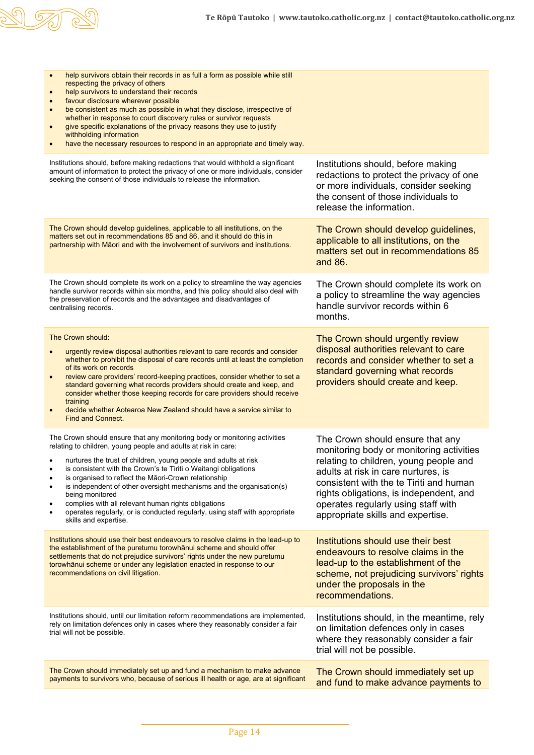

| help survivors obtain their records in as full a form as possible while still<br>$\bullet$<br>respecting the privacy of others<br>help survivors to understand their records<br>$\bullet$<br>favour disclosure wherever possible<br>$\bullet$<br>be consistent as much as possible in what they disclose, irrespective of<br>$\bullet$<br>whether in response to court discovery rules or survivor requests<br>give specific explanations of the privacy reasons they use to justify<br>withholding information<br>have the necessary resources to respond in an appropriate and timely way.             |                                                                                                                                                                                                                                                                                                                                 |
|----------------------------------------------------------------------------------------------------------------------------------------------------------------------------------------------------------------------------------------------------------------------------------------------------------------------------------------------------------------------------------------------------------------------------------------------------------------------------------------------------------------------------------------------------------------------------------------------------------|---------------------------------------------------------------------------------------------------------------------------------------------------------------------------------------------------------------------------------------------------------------------------------------------------------------------------------|
| Institutions should, before making redactions that would withhold a significant<br>amount of information to protect the privacy of one or more individuals, consider<br>seeking the consent of those individuals to release the information.                                                                                                                                                                                                                                                                                                                                                             | Institutions should, before making<br>redactions to protect the privacy of one<br>or more individuals, consider seeking<br>the consent of those individuals to<br>release the information.                                                                                                                                      |
| The Crown should develop guidelines, applicable to all institutions, on the<br>matters set out in recommendations 85 and 86, and it should do this in<br>partnership with Māori and with the involvement of survivors and institutions.                                                                                                                                                                                                                                                                                                                                                                  | The Crown should develop guidelines,<br>applicable to all institutions, on the<br>matters set out in recommendations 85<br>and 86.                                                                                                                                                                                              |
| The Crown should complete its work on a policy to streamline the way agencies<br>handle survivor records within six months, and this policy should also deal with<br>the preservation of records and the advantages and disadvantages of<br>centralising records.                                                                                                                                                                                                                                                                                                                                        | The Crown should complete its work on<br>a policy to streamline the way agencies<br>handle survivor records within 6<br>months.                                                                                                                                                                                                 |
| The Crown should:<br>urgently review disposal authorities relevant to care records and consider<br>whether to prohibit the disposal of care records until at least the completion<br>of its work on records<br>review care providers' record-keeping practices, consider whether to set a<br>standard governing what records providers should create and keep, and<br>consider whether those keeping records for care providers should receive<br>training<br>decide whether Aotearoa New Zealand should have a service similar to<br><b>Find and Connect.</b>                                           | The Crown should urgently review<br>disposal authorities relevant to care<br>records and consider whether to set a<br>standard governing what records<br>providers should create and keep.                                                                                                                                      |
| The Crown should ensure that any monitoring body or monitoring activities<br>relating to children, young people and adults at risk in care:<br>nurtures the trust of children, young people and adults at risk<br>is consistent with the Crown's te Tiriti o Waitangi obligations<br>is organised to reflect the Māori-Crown relationship<br>is independent of other oversight mechanisms and the organisation(s)<br>being monitored<br>complies with all relevant human rights obligations<br>operates regularly, or is conducted regularly, using staff with appropriate<br>٠<br>skills and expertise. | The Crown should ensure that any<br>monitoring body or monitoring activities<br>relating to children, young people and<br>adults at risk in care nurtures, is<br>consistent with the te Tiriti and human<br>rights obligations, is independent, and<br>operates regularly using staff with<br>appropriate skills and expertise. |
| Institutions should use their best endeavours to resolve claims in the lead-up to<br>the establishment of the puretumu torowhanui scheme and should offer<br>settlements that do not prejudice survivors' rights under the new puretumu<br>torowhānui scheme or under any legislation enacted in response to our<br>recommendations on civil litigation.                                                                                                                                                                                                                                                 | Institutions should use their best<br>endeavours to resolve claims in the<br>lead-up to the establishment of the<br>scheme, not prejudicing survivors' rights<br>under the proposals in the<br>recommendations.                                                                                                                 |
| Institutions should, until our limitation reform recommendations are implemented,<br>rely on limitation defences only in cases where they reasonably consider a fair<br>trial will not be possible.                                                                                                                                                                                                                                                                                                                                                                                                      | Institutions should, in the meantime, rely<br>on limitation defences only in cases<br>where they reasonably consider a fair<br>trial will not be possible.                                                                                                                                                                      |
| The Crown should immediately set up and fund a mechanism to make advance<br>payments to survivors who, because of serious ill health or age, are at significant                                                                                                                                                                                                                                                                                                                                                                                                                                          | The Crown should immediately set up<br>and fund to make advance payments to                                                                                                                                                                                                                                                     |